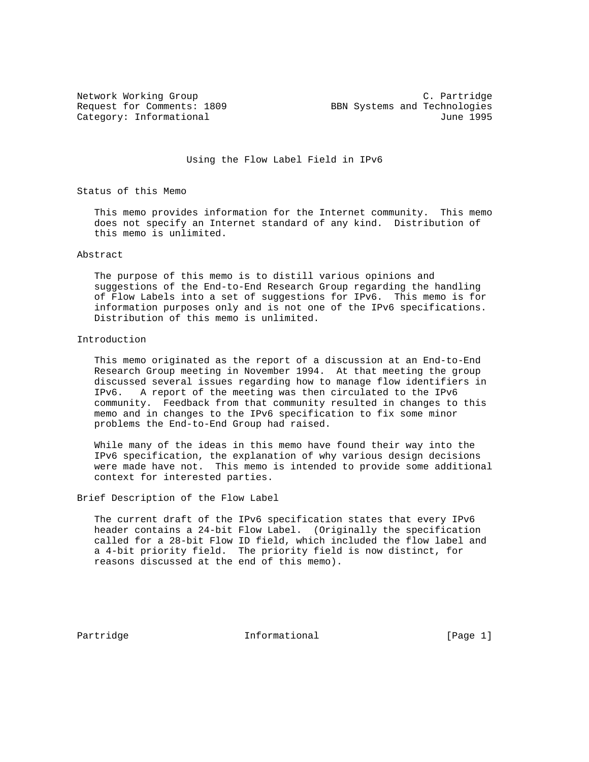Network Working Group C. Partridge Request for Comments: 1809 BBN Systems and Technologies Category: Informational June 1995

Using the Flow Label Field in IPv6

Status of this Memo

 This memo provides information for the Internet community. This memo does not specify an Internet standard of any kind. Distribution of this memo is unlimited.

## Abstract

 The purpose of this memo is to distill various opinions and suggestions of the End-to-End Research Group regarding the handling of Flow Labels into a set of suggestions for IPv6. This memo is for information purposes only and is not one of the IPv6 specifications. Distribution of this memo is unlimited.

## Introduction

 This memo originated as the report of a discussion at an End-to-End Research Group meeting in November 1994. At that meeting the group discussed several issues regarding how to manage flow identifiers in IPv6. A report of the meeting was then circulated to the IPv6 community. Feedback from that community resulted in changes to this memo and in changes to the IPv6 specification to fix some minor problems the End-to-End Group had raised.

 While many of the ideas in this memo have found their way into the IPv6 specification, the explanation of why various design decisions were made have not. This memo is intended to provide some additional context for interested parties.

Brief Description of the Flow Label

 The current draft of the IPv6 specification states that every IPv6 header contains a 24-bit Flow Label. (Originally the specification called for a 28-bit Flow ID field, which included the flow label and a 4-bit priority field. The priority field is now distinct, for reasons discussed at the end of this memo).

Partridge **Informational** Informational [Page 1]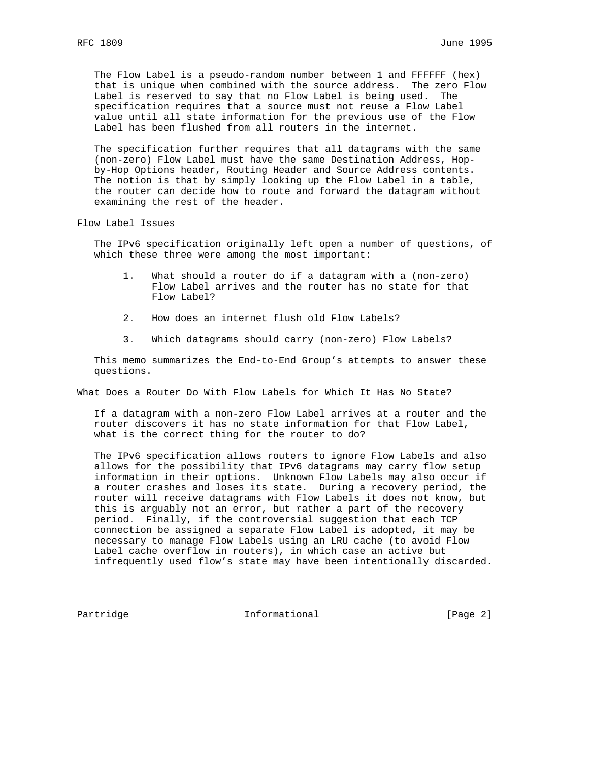The Flow Label is a pseudo-random number between 1 and FFFFFF (hex) that is unique when combined with the source address. The zero Flow Label is reserved to say that no Flow Label is being used. The specification requires that a source must not reuse a Flow Label value until all state information for the previous use of the Flow Label has been flushed from all routers in the internet.

 The specification further requires that all datagrams with the same (non-zero) Flow Label must have the same Destination Address, Hop by-Hop Options header, Routing Header and Source Address contents. The notion is that by simply looking up the Flow Label in a table, the router can decide how to route and forward the datagram without examining the rest of the header.

Flow Label Issues

 The IPv6 specification originally left open a number of questions, of which these three were among the most important:

- 1. What should a router do if a datagram with a (non-zero) Flow Label arrives and the router has no state for that Flow Label?
- 2. How does an internet flush old Flow Labels?
- 3. Which datagrams should carry (non-zero) Flow Labels?

 This memo summarizes the End-to-End Group's attempts to answer these questions.

What Does a Router Do With Flow Labels for Which It Has No State?

 If a datagram with a non-zero Flow Label arrives at a router and the router discovers it has no state information for that Flow Label, what is the correct thing for the router to do?

 The IPv6 specification allows routers to ignore Flow Labels and also allows for the possibility that IPv6 datagrams may carry flow setup information in their options. Unknown Flow Labels may also occur if a router crashes and loses its state. During a recovery period, the router will receive datagrams with Flow Labels it does not know, but this is arguably not an error, but rather a part of the recovery period. Finally, if the controversial suggestion that each TCP connection be assigned a separate Flow Label is adopted, it may be necessary to manage Flow Labels using an LRU cache (to avoid Flow Label cache overflow in routers), in which case an active but infrequently used flow's state may have been intentionally discarded.

Partridge **Informational** Informational [Page 2]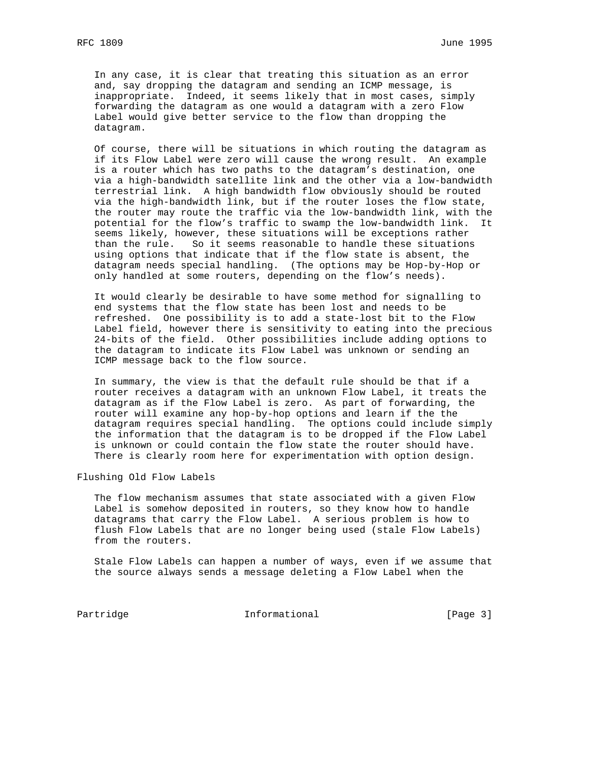In any case, it is clear that treating this situation as an error and, say dropping the datagram and sending an ICMP message, is inappropriate. Indeed, it seems likely that in most cases, simply forwarding the datagram as one would a datagram with a zero Flow Label would give better service to the flow than dropping the datagram.

 Of course, there will be situations in which routing the datagram as if its Flow Label were zero will cause the wrong result. An example is a router which has two paths to the datagram's destination, one via a high-bandwidth satellite link and the other via a low-bandwidth terrestrial link. A high bandwidth flow obviously should be routed via the high-bandwidth link, but if the router loses the flow state, the router may route the traffic via the low-bandwidth link, with the potential for the flow's traffic to swamp the low-bandwidth link. It seems likely, however, these situations will be exceptions rather than the rule. So it seems reasonable to handle these situations using options that indicate that if the flow state is absent, the datagram needs special handling. (The options may be Hop-by-Hop or only handled at some routers, depending on the flow's needs).

 It would clearly be desirable to have some method for signalling to end systems that the flow state has been lost and needs to be refreshed. One possibility is to add a state-lost bit to the Flow Label field, however there is sensitivity to eating into the precious 24-bits of the field. Other possibilities include adding options to the datagram to indicate its Flow Label was unknown or sending an ICMP message back to the flow source.

 In summary, the view is that the default rule should be that if a router receives a datagram with an unknown Flow Label, it treats the datagram as if the Flow Label is zero. As part of forwarding, the router will examine any hop-by-hop options and learn if the the datagram requires special handling. The options could include simply the information that the datagram is to be dropped if the Flow Label is unknown or could contain the flow state the router should have. There is clearly room here for experimentation with option design.

Flushing Old Flow Labels

 The flow mechanism assumes that state associated with a given Flow Label is somehow deposited in routers, so they know how to handle datagrams that carry the Flow Label. A serious problem is how to flush Flow Labels that are no longer being used (stale Flow Labels) from the routers.

 Stale Flow Labels can happen a number of ways, even if we assume that the source always sends a message deleting a Flow Label when the

Partridge 1111 Informational 1111 [Page 3]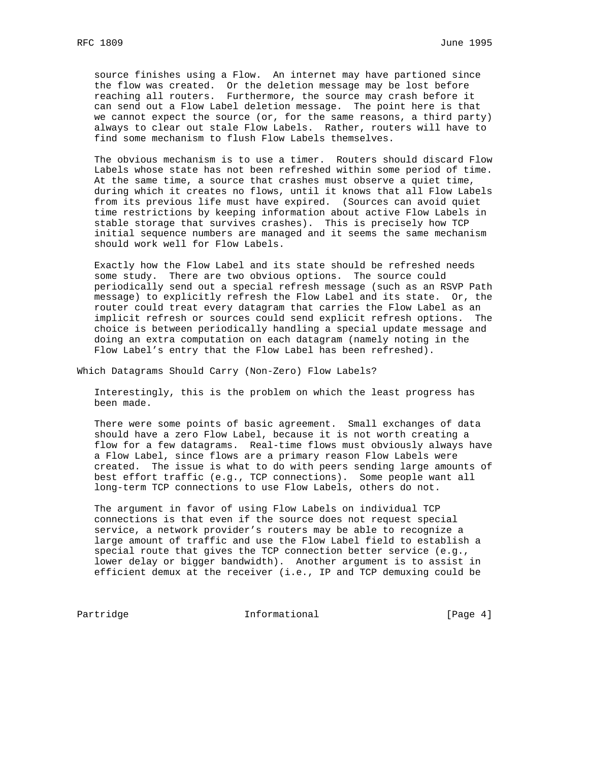source finishes using a Flow. An internet may have partioned since the flow was created. Or the deletion message may be lost before reaching all routers. Furthermore, the source may crash before it can send out a Flow Label deletion message. The point here is that we cannot expect the source (or, for the same reasons, a third party) always to clear out stale Flow Labels. Rather, routers will have to find some mechanism to flush Flow Labels themselves.

 The obvious mechanism is to use a timer. Routers should discard Flow Labels whose state has not been refreshed within some period of time. At the same time, a source that crashes must observe a quiet time, during which it creates no flows, until it knows that all Flow Labels from its previous life must have expired. (Sources can avoid quiet time restrictions by keeping information about active Flow Labels in stable storage that survives crashes). This is precisely how TCP initial sequence numbers are managed and it seems the same mechanism should work well for Flow Labels.

 Exactly how the Flow Label and its state should be refreshed needs some study. There are two obvious options. The source could periodically send out a special refresh message (such as an RSVP Path message) to explicitly refresh the Flow Label and its state. Or, the router could treat every datagram that carries the Flow Label as an implicit refresh or sources could send explicit refresh options. The choice is between periodically handling a special update message and doing an extra computation on each datagram (namely noting in the Flow Label's entry that the Flow Label has been refreshed).

Which Datagrams Should Carry (Non-Zero) Flow Labels?

 Interestingly, this is the problem on which the least progress has been made.

 There were some points of basic agreement. Small exchanges of data should have a zero Flow Label, because it is not worth creating a flow for a few datagrams. Real-time flows must obviously always have a Flow Label, since flows are a primary reason Flow Labels were created. The issue is what to do with peers sending large amounts of best effort traffic (e.g., TCP connections). Some people want all long-term TCP connections to use Flow Labels, others do not.

 The argument in favor of using Flow Labels on individual TCP connections is that even if the source does not request special service, a network provider's routers may be able to recognize a large amount of traffic and use the Flow Label field to establish a special route that gives the TCP connection better service (e.g., lower delay or bigger bandwidth). Another argument is to assist in efficient demux at the receiver (i.e., IP and TCP demuxing could be

Partridge 1.1 Informational 1.1 Page 4]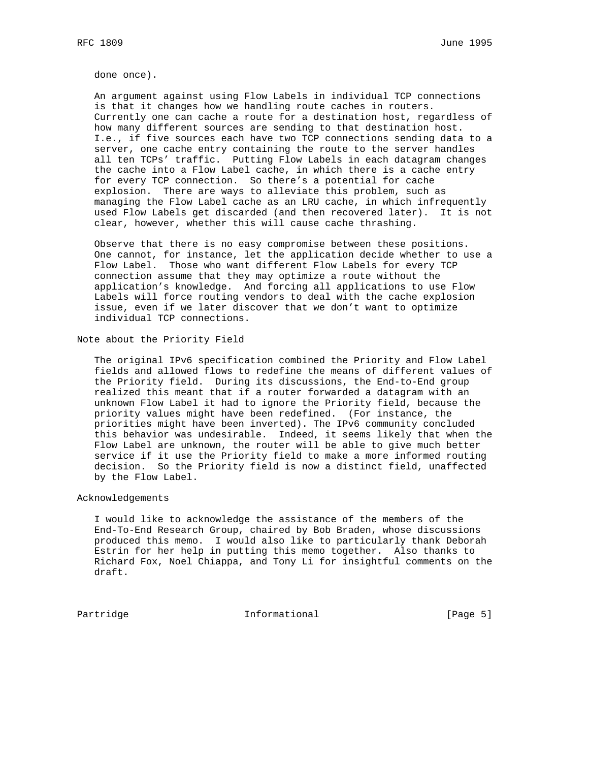done once).

 An argument against using Flow Labels in individual TCP connections is that it changes how we handling route caches in routers. Currently one can cache a route for a destination host, regardless of how many different sources are sending to that destination host. I.e., if five sources each have two TCP connections sending data to a server, one cache entry containing the route to the server handles all ten TCPs' traffic. Putting Flow Labels in each datagram changes the cache into a Flow Label cache, in which there is a cache entry for every TCP connection. So there's a potential for cache explosion. There are ways to alleviate this problem, such as managing the Flow Label cache as an LRU cache, in which infrequently used Flow Labels get discarded (and then recovered later). It is not clear, however, whether this will cause cache thrashing.

 Observe that there is no easy compromise between these positions. One cannot, for instance, let the application decide whether to use a Flow Label. Those who want different Flow Labels for every TCP connection assume that they may optimize a route without the application's knowledge. And forcing all applications to use Flow Labels will force routing vendors to deal with the cache explosion issue, even if we later discover that we don't want to optimize individual TCP connections.

Note about the Priority Field

 The original IPv6 specification combined the Priority and Flow Label fields and allowed flows to redefine the means of different values of the Priority field. During its discussions, the End-to-End group realized this meant that if a router forwarded a datagram with an unknown Flow Label it had to ignore the Priority field, because the priority values might have been redefined. (For instance, the priorities might have been inverted). The IPv6 community concluded this behavior was undesirable. Indeed, it seems likely that when the Flow Label are unknown, the router will be able to give much better service if it use the Priority field to make a more informed routing decision. So the Priority field is now a distinct field, unaffected by the Flow Label.

Acknowledgements

 I would like to acknowledge the assistance of the members of the End-To-End Research Group, chaired by Bob Braden, whose discussions produced this memo. I would also like to particularly thank Deborah Estrin for her help in putting this memo together. Also thanks to Richard Fox, Noel Chiappa, and Tony Li for insightful comments on the draft.

Partridge 1.1 Informational 1.1 Page 5]